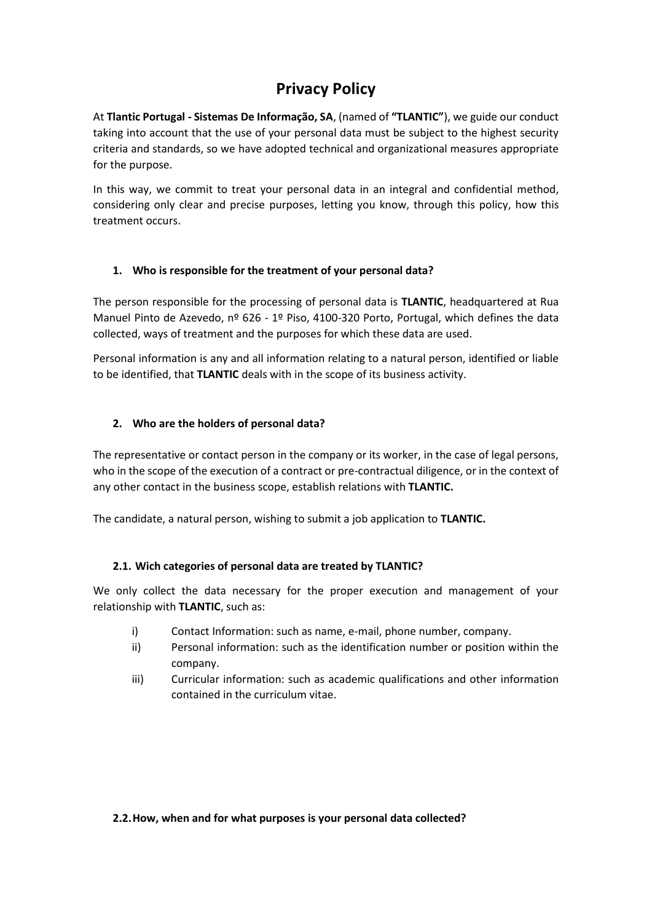# **Privacy Policy**

At **Tlantic Portugal - Sistemas De Informação, SA**, (named of **"TLANTIC"**), we guide our conduct taking into account that the use of your personal data must be subject to the highest security criteria and standards, so we have adopted technical and organizational measures appropriate for the purpose.

In this way, we commit to treat your personal data in an integral and confidential method, considering only clear and precise purposes, letting you know, through this policy, how this treatment occurs.

# **1. Who is responsible for the treatment of your personal data?**

The person responsible for the processing of personal data is **TLANTIC**, headquartered at Rua Manuel Pinto de Azevedo, nº 626 - 1º Piso, 4100-320 Porto, Portugal, which defines the data collected, ways of treatment and the purposes for which these data are used.

Personal information is any and all information relating to a natural person, identified or liable to be identified, that **TLANTIC** deals with in the scope of its business activity.

# **2. Who are the holders of personal data?**

The representative or contact person in the company or its worker, in the case of legal persons, who in the scope of the execution of a contract or pre-contractual diligence, or in the context of any other contact in the business scope, establish relations with **TLANTIC.**

The candidate, a natural person, wishing to submit a job application to **TLANTIC.**

### **2.1. Wich categories of personal data are treated by TLANTIC?**

We only collect the data necessary for the proper execution and management of your relationship with **TLANTIC**, such as:

- i) Contact Information: such as name, e-mail, phone number, company.
- ii) Personal information: such as the identification number or position within the company.
- iii) Curricular information: such as academic qualifications and other information contained in the curriculum vitae.

#### **2.2.How, when and for what purposes is your personal data collected?**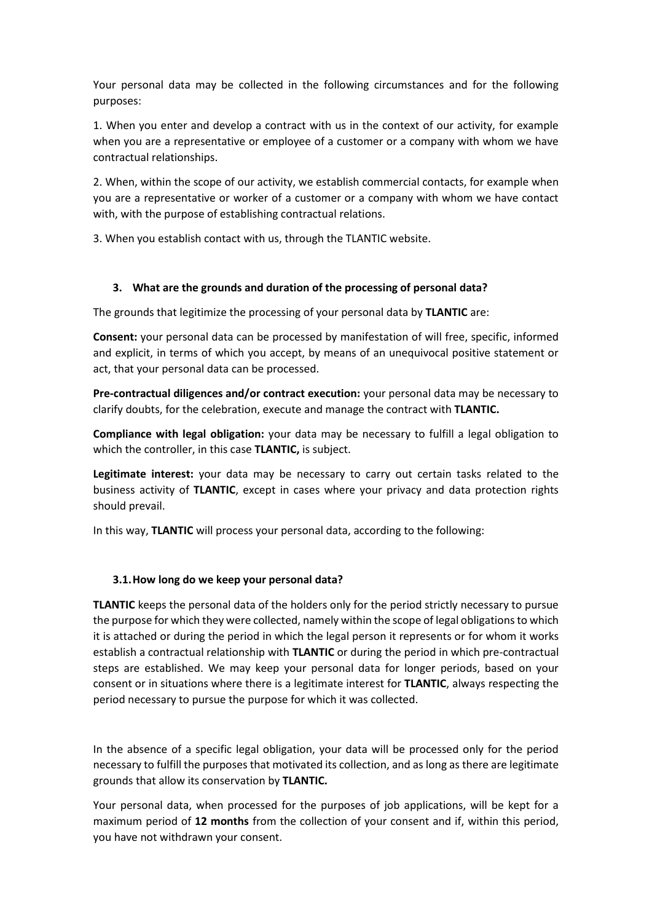Your personal data may be collected in the following circumstances and for the following purposes:

1. When you enter and develop a contract with us in the context of our activity, for example when you are a representative or employee of a customer or a company with whom we have contractual relationships.

2. When, within the scope of our activity, we establish commercial contacts, for example when you are a representative or worker of a customer or a company with whom we have contact with, with the purpose of establishing contractual relations.

3. When you establish contact with us, through the TLANTIC website.

### **3. What are the grounds and duration of the processing of personal data?**

The grounds that legitimize the processing of your personal data by **TLANTIC** are:

**Consent:** your personal data can be processed by manifestation of will free, specific, informed and explicit, in terms of which you accept, by means of an unequivocal positive statement or act, that your personal data can be processed.

**Pre-contractual diligences and/or contract execution:** your personal data may be necessary to clarify doubts, for the celebration, execute and manage the contract with **TLANTIC.**

**Compliance with legal obligation:** your data may be necessary to fulfill a legal obligation to which the controller, in this case **TLANTIC,** is subject.

**Legitimate interest:** your data may be necessary to carry out certain tasks related to the business activity of **TLANTIC**, except in cases where your privacy and data protection rights should prevail.

In this way, **TLANTIC** will process your personal data, according to the following:

### **3.1.How long do we keep your personal data?**

**TLANTIC** keeps the personal data of the holders only for the period strictly necessary to pursue the purpose for which they were collected, namely within the scope of legal obligations to which it is attached or during the period in which the legal person it represents or for whom it works establish a contractual relationship with **TLANTIC** or during the period in which pre-contractual steps are established. We may keep your personal data for longer periods, based on your consent or in situations where there is a legitimate interest for **TLANTIC**, always respecting the period necessary to pursue the purpose for which it was collected.

In the absence of a specific legal obligation, your data will be processed only for the period necessary to fulfill the purposes that motivated its collection, and as long as there are legitimate grounds that allow its conservation by **TLANTIC.**

Your personal data, when processed for the purposes of job applications, will be kept for a maximum period of **12 months** from the collection of your consent and if, within this period, you have not withdrawn your consent.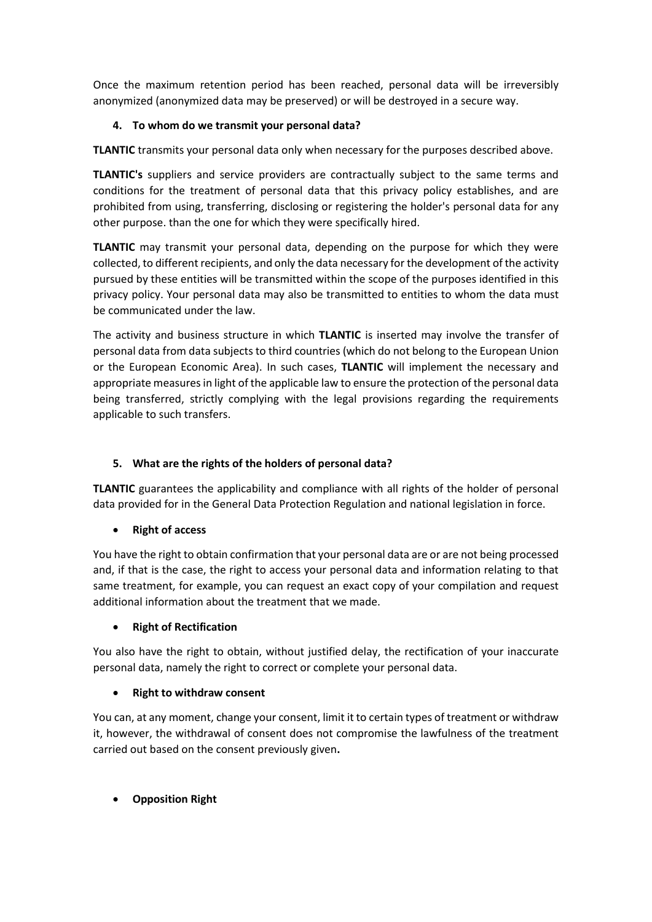Once the maximum retention period has been reached, personal data will be irreversibly anonymized (anonymized data may be preserved) or will be destroyed in a secure way.

# **4. To whom do we transmit your personal data?**

**TLANTIC** transmits your personal data only when necessary for the purposes described above.

**TLANTIC's** suppliers and service providers are contractually subject to the same terms and conditions for the treatment of personal data that this privacy policy establishes, and are prohibited from using, transferring, disclosing or registering the holder's personal data for any other purpose. than the one for which they were specifically hired.

**TLANTIC** may transmit your personal data, depending on the purpose for which they were collected, to different recipients, and only the data necessary for the development of the activity pursued by these entities will be transmitted within the scope of the purposes identified in this privacy policy. Your personal data may also be transmitted to entities to whom the data must be communicated under the law.

The activity and business structure in which **TLANTIC** is inserted may involve the transfer of personal data from data subjects to third countries (which do not belong to the European Union or the European Economic Area). In such cases, **TLANTIC** will implement the necessary and appropriate measures in light of the applicable law to ensure the protection of the personal data being transferred, strictly complying with the legal provisions regarding the requirements applicable to such transfers.

# **5. What are the rights of the holders of personal data?**

**TLANTIC** guarantees the applicability and compliance with all rights of the holder of personal data provided for in the General Data Protection Regulation and national legislation in force.

• **Right of access** 

You have the right to obtain confirmation that your personal data are or are not being processed and, if that is the case, the right to access your personal data and information relating to that same treatment, for example, you can request an exact copy of your compilation and request additional information about the treatment that we made.

# • **Right of Rectification**

You also have the right to obtain, without justified delay, the rectification of your inaccurate personal data, namely the right to correct or complete your personal data.

# • **Right to withdraw consent**

You can, at any moment, change your consent, limit it to certain types of treatment or withdraw it, however, the withdrawal of consent does not compromise the lawfulness of the treatment carried out based on the consent previously given**.**

• **Opposition Right**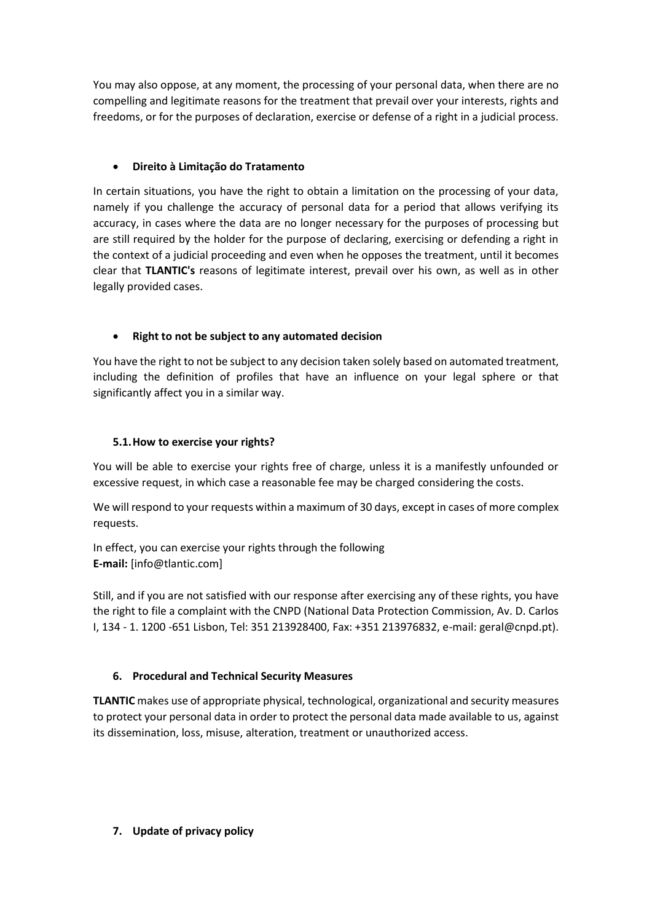You may also oppose, at any moment, the processing of your personal data, when there are no compelling and legitimate reasons for the treatment that prevail over your interests, rights and freedoms, or for the purposes of declaration, exercise or defense of a right in a judicial process.

# • **Direito à Limitação do Tratamento**

In certain situations, you have the right to obtain a limitation on the processing of your data, namely if you challenge the accuracy of personal data for a period that allows verifying its accuracy, in cases where the data are no longer necessary for the purposes of processing but are still required by the holder for the purpose of declaring, exercising or defending a right in the context of a judicial proceeding and even when he opposes the treatment, until it becomes clear that **TLANTIC's** reasons of legitimate interest, prevail over his own, as well as in other legally provided cases.

# • **Right to not be subject to any automated decision**

You have the right to not be subject to any decision taken solely based on automated treatment, including the definition of profiles that have an influence on your legal sphere or that significantly affect you in a similar way.

# **5.1.How to exercise your rights?**

You will be able to exercise your rights free of charge, unless it is a manifestly unfounded or excessive request, in which case a reasonable fee may be charged considering the costs.

We will respond to your requests within a maximum of 30 days, except in cases of more complex requests.

In effect, you can exercise your rights through the following **E-mail:** [info@tlantic.com]

Still, and if you are not satisfied with our response after exercising any of these rights, you have the right to file a complaint with the CNPD (National Data Protection Commission, Av. D. Carlos I, 134 - 1. 1200 -651 Lisbon, Tel: 351 213928400, Fax: +351 213976832, e-mail: geral@cnpd.pt).

### **6. Procedural and Technical Security Measures**

**TLANTIC** makes use of appropriate physical, technological, organizational and security measures to protect your personal data in order to protect the personal data made available to us, against its dissemination, loss, misuse, alteration, treatment or unauthorized access.

### **7. Update of privacy policy**